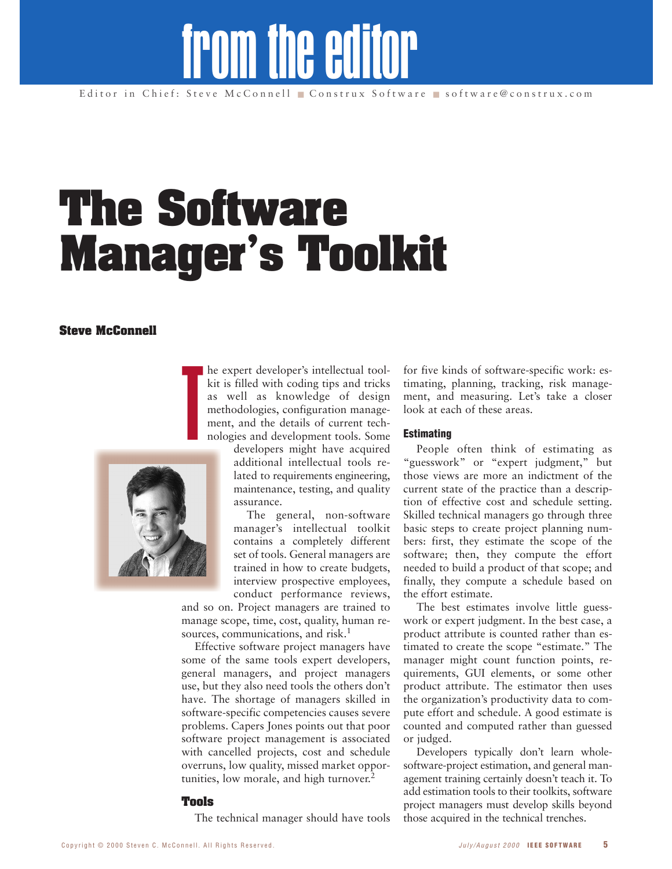# from the editor

# **The Software Manager's Toolkit**

# **Steve McConnell**

he expert developer's intellectual toolkit is filled with coding tips and tricks as well as knowledge of design methodologies, configuration management, and the details of current technologies and development tools. Some

developers might have acquired additional intellectual tools related to requirements engineering, maintenance, testing, and quality assurance.

The general, non-software manager's intellectual toolkit contains a completely different set of tools. General managers are trained in how to create budgets, interview prospective employees, conduct performance reviews,

and so on. Project managers are trained to manage scope, time, cost, quality, human resources, communications, and risk.<sup>1</sup>

Effective software project managers have some of the same tools expert developers, general managers, and project managers use, but they also need tools the others don't have. The shortage of managers skilled in software-specific competencies causes severe problems. Capers Jones points out that poor software project management is associated with cancelled projects, cost and schedule overruns, low quality, missed market opportunities, low morale, and high turnover.<sup>2</sup>

# **Tools**

The technical manager should have tools

for five kinds of software-specific work: estimating, planning, tracking, risk management, and measuring. Let's take a closer look at each of these areas.

# **Estimating**

People often think of estimating as "guesswork" or "expert judgment," but those views are more an indictment of the current state of the practice than a description of effective cost and schedule setting. Skilled technical managers go through three basic steps to create project planning numbers: first, they estimate the scope of the software; then, they compute the effort needed to build a product of that scope; and finally, they compute a schedule based on the effort estimate.

The best estimates involve little guesswork or expert judgment. In the best case, a product attribute is counted rather than estimated to create the scope "estimate." The manager might count function points, requirements, GUI elements, or some other product attribute. The estimator then uses the organization's productivity data to compute effort and schedule. A good estimate is counted and computed rather than guessed or judged.

Developers typically don't learn wholesoftware-project estimation, and general management training certainly doesn't teach it. To add estimation tools to their toolkits, software project managers must develop skills beyond those acquired in the technical trenches.

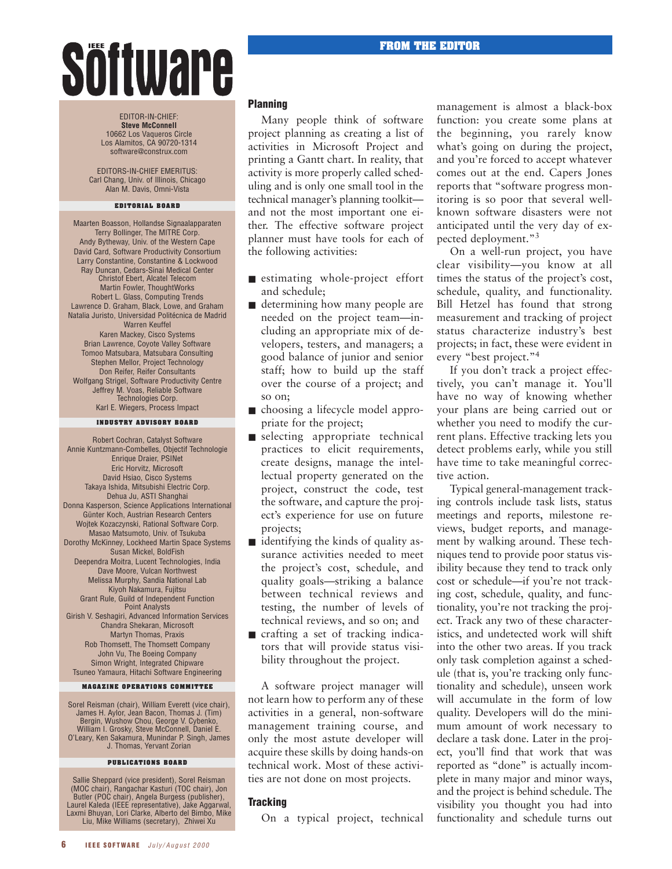# Söftware

EDITOR-IN-CHIEF: **Steve McConnell** 10662 Los Vaqueros Circle Los Alamitos, CA 90720-1314 software@construx.com

EDITORS-IN-CHIEF EMERITUS: Carl Chang, Univ. of Illinois, Chicago Alan M. Davis, Omni-Vista

#### **EDITORIAL BOARD**

Maarten Boasson, Hollandse Signaalapparaten Terry Bollinger, The MITRE Corp. Andy Bytheway, Univ. of the Western Cape David Card, Software Productivity Consortium Larry Constantine, Constantine & Lockwood Ray Duncan, Cedars-Sinai Medical Center Christof Ebert, Alcatel Telecom Martin Fowler, ThoughtWorks Robert L. Glass, Computing Trends Lawrence D. Graham, Black, Lowe, and Graham Natalia Juristo, Universidad Politécnica de Madrid Warren Keuffel Karen Mackey, Cisco Systems Brian Lawrence, Coyote Valley Software Tomoo Matsubara, Matsubara Consulting Stephen Mellor, Project Technology Don Reifer, Reifer Consultants Wolfgang Strigel, Software Productivity Centre Jeffrey M. Voas, Reliable Software Technologies Corp. Karl E. Wiegers, Process Impact

#### **INDUSTRY ADVISORY BOARD**

Robert Cochran, Catalyst Software Annie Kuntzmann-Combelles, Objectif Technologie Enrique Draier, PSINet Eric Horvitz, Microsoft David Hsiao, Cisco Systems Takaya Ishida, Mitsubishi Electric Corp. Dehua Ju, ASTI Shanghai Donna Kasperson, Science Applications International Günter Koch, Austrian Research Centers Wojtek Kozaczynski, Rational Software Corp. Masao Matsumoto, Univ. of Tsukuba Dorothy McKinney, Lockheed Martin Space Systems Susan Mickel, BoldFish Deependra Moitra, Lucent Technologies, India Dave Moore, Vulcan Northwest Melissa Murphy, Sandia National Lab Kiyoh Nakamura, Fujitsu Grant Rule, Guild of Independent Function Point Analysts Girish V. Seshagiri, Advanced Information Services Chandra Shekaran, Microsoft Martyn Thomas, Praxis Rob Thomsett, The Thomsett Company John Vu, The Boeing Company Simon Wright, Integrated Chipware Tsuneo Yamaura, Hitachi Software Engineering

#### **MAGAZINE OPERATIONS COMMITTEE**

Sorel Reisman (chair), William Everett (vice chair), James H. Aylor, Jean Bacon, Thomas J. (Tim) Bergin, Wushow Chou, George V. Cybenko, William I. Grosky, Steve McConnell, Daniel E. O'Leary, Ken Sakamura, Munindar P. Singh, James J. Thomas, Yervant Zorian

#### **PUBLICATIONS BOARD**

Sallie Sheppard (vice president), Sorel Reisman (MOC chair), Rangachar Kasturi (TOC chair), Jon Butler (POC chair), Angela Burgess (publisher), Laurel Kaleda (IEEE representative), Jake Aggarwal, Laxmi Bhuyan, Lori Clarke, Alberto del Bimbo, Mike Liu, Mike Williams (secretary), Zhiwei Xu

# **Planning**

Many people think of software project planning as creating a list of activities in Microsoft Project and printing a Gantt chart. In reality, that activity is more properly called scheduling and is only one small tool in the technical manager's planning toolkit and not the most important one either. The effective software project planner must have tools for each of the following activities:

- estimating whole-project effort and schedule;
- determining how many people are needed on the project team—including an appropriate mix of developers, testers, and managers; a good balance of junior and senior staff; how to build up the staff over the course of a project; and so on;
- choosing a lifecycle model appropriate for the project;
- selecting appropriate technical practices to elicit requirements, create designs, manage the intellectual property generated on the project, construct the code, test the software, and capture the project's experience for use on future projects;
- $\blacksquare$  identifying the kinds of quality assurance activities needed to meet the project's cost, schedule, and quality goals—striking a balance between technical reviews and testing, the number of levels of technical reviews, and so on; and
- crafting a set of tracking indicators that will provide status visibility throughout the project.

A software project manager will not learn how to perform any of these activities in a general, non-software management training course, and only the most astute developer will acquire these skills by doing hands-on technical work. Most of these activities are not done on most projects.

# **Tracking**

On a typical project, technical

management is almost a black-box function: you create some plans at the beginning, you rarely know what's going on during the project, and you're forced to accept whatever comes out at the end. Capers Jones reports that "software progress monitoring is so poor that several wellknown software disasters were not anticipated until the very day of expected deployment."3

On a well-run project, you have clear visibility—you know at all times the status of the project's cost, schedule, quality, and functionality. Bill Hetzel has found that strong measurement and tracking of project status characterize industry's best projects; in fact, these were evident in every "best project."4

If you don't track a project effectively, you can't manage it. You'll have no way of knowing whether your plans are being carried out or whether you need to modify the current plans. Effective tracking lets you detect problems early, while you still have time to take meaningful corrective action.

Typical general-management tracking controls include task lists, status meetings and reports, milestone reviews, budget reports, and management by walking around. These techniques tend to provide poor status visibility because they tend to track only cost or schedule—if you're not tracking cost, schedule, quality, and functionality, you're not tracking the project. Track any two of these characteristics, and undetected work will shift into the other two areas. If you track only task completion against a schedule (that is, you're tracking only functionality and schedule), unseen work will accumulate in the form of low quality. Developers will do the minimum amount of work necessary to declare a task done. Later in the project, you'll find that work that was reported as "done" is actually incomplete in many major and minor ways, and the project is behind schedule. The visibility you thought you had into functionality and schedule turns out